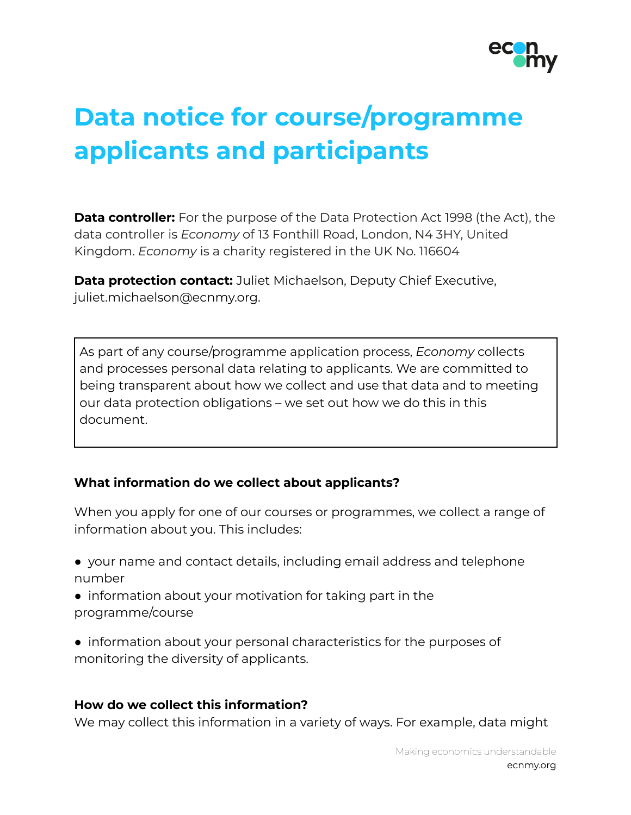

# **Data notice for course/programme applicants and participants**

**Data controller:** For the purpose of the Data Protection Act 1998 (the Act), the data controller is *Economy* of 13 Fonthill Road, London, N4 3HY, United Kingdom. *Economy* is a charity registered in the UK No. 116604

**Data protection contact:** Juliet Michaelson, Deputy Chief Executive, juliet.michaelson@ecnmy.org.

As part of any course/programme application process, *Economy* collects and processes personal data relating to applicants. We are committed to being transparent about how we collect and use that data and to meeting our data protection obligations – we set out how we do this in this document.

# **What information do we collect about applicants?**

When you apply for one of our courses or programmes, we collect a range of information about you. This includes:

- your name and contact details, including email address and telephone number
- information about your motivation for taking part in the programme/course
- information about your personal characteristics for the purposes of monitoring the diversity of applicants.

#### **How do we collect this information?**

We may collect this information in a variety of ways. For example, data might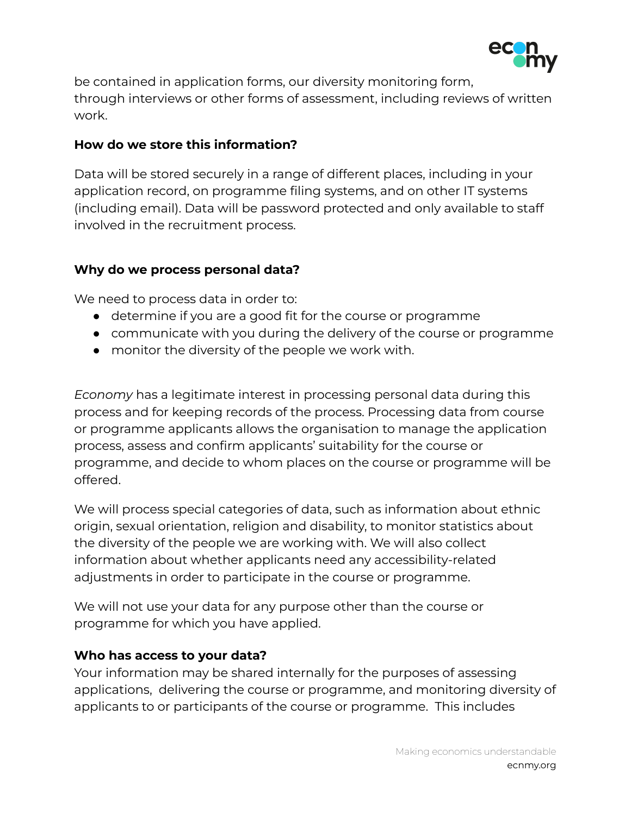

be contained in application forms, our diversity monitoring form, through interviews or other forms of assessment, including reviews of written work.

# **How do we store this information?**

Data will be stored securely in a range of different places, including in your application record, on programme filing systems, and on other IT systems (including email). Data will be password protected and only available to staff involved in the recruitment process.

# **Why do we process personal data?**

We need to process data in order to:

- determine if you are a good fit for the course or programme
- communicate with you during the delivery of the course or programme
- monitor the diversity of the people we work with.

*Economy* has a legitimate interest in processing personal data during this process and for keeping records of the process. Processing data from course or programme applicants allows the organisation to manage the application process, assess and confirm applicants' suitability for the course or programme, and decide to whom places on the course or programme will be offered.

We will process special categories of data, such as information about ethnic origin, sexual orientation, religion and disability, to monitor statistics about the diversity of the people we are working with. We will also collect information about whether applicants need any accessibility-related adjustments in order to participate in the course or programme.

We will not use your data for any purpose other than the course or programme for which you have applied.

#### **Who has access to your data?**

Your information may be shared internally for the purposes of assessing applications, delivering the course or programme, and monitoring diversity of applicants to or participants of the course or programme. This includes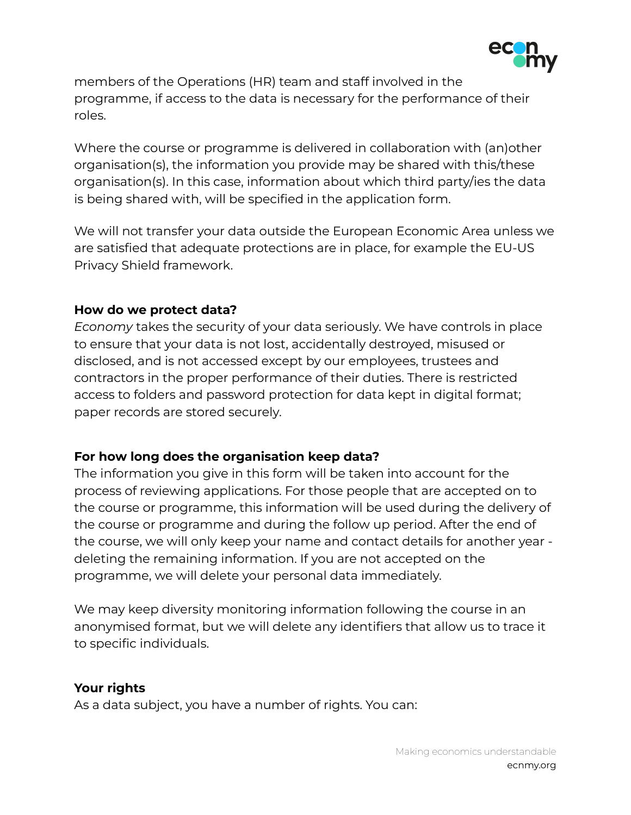

members of the Operations (HR) team and staff involved in the programme, if access to the data is necessary for the performance of their roles.

Where the course or programme is delivered in collaboration with (an)other organisation(s), the information you provide may be shared with this/these organisation(s). In this case, information about which third party/ies the data is being shared with, will be specified in the application form.

We will not transfer your data outside the European Economic Area unless we are satisfied that adequate protections are in place, for example the EU-US Privacy Shield framework.

#### **How do we protect data?**

*Economy* takes the security of your data seriously. We have controls in place to ensure that your data is not lost, accidentally destroyed, misused or disclosed, and is not accessed except by our employees, trustees and contractors in the proper performance of their duties. There is restricted access to folders and password protection for data kept in digital format; paper records are stored securely.

# **For how long does the organisation keep data?**

The information you give in this form will be taken into account for the process of reviewing applications. For those people that are accepted on to the course or programme, this information will be used during the delivery of the course or programme and during the follow up period. After the end of the course, we will only keep your name and contact details for another year deleting the remaining information. If you are not accepted on the programme, we will delete your personal data immediately.

We may keep diversity monitoring information following the course in an anonymised format, but we will delete any identifiers that allow us to trace it to specific individuals.

# **Your rights**

As a data subject, you have a number of rights. You can: